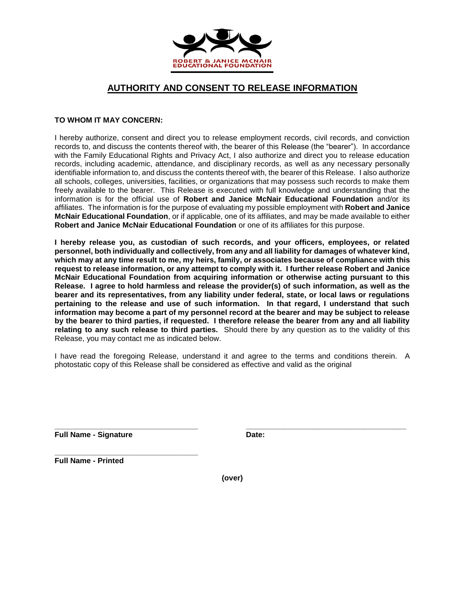

## **AUTHORITY AND CONSENT TO RELEASE INFORMATION**

## **TO WHOM IT MAY CONCERN:**

I hereby authorize, consent and direct you to release employment records, civil records, and conviction records to, and discuss the contents thereof with, the bearer of this Release (the "bearer"). In accordance with the Family Educational Rights and Privacy Act, I also authorize and direct you to release education records, including academic, attendance, and disciplinary records, as well as any necessary personally identifiable information to, and discuss the contents thereof with, the bearer of this Release. I also authorize all schools, colleges, universities, facilities, or organizations that may possess such records to make them freely available to the bearer. This Release is executed with full knowledge and understanding that the information is for the official use of **Robert and Janice McNair Educational Foundation** and/or its affiliates. The information is for the purpose of evaluating my possible employment with **Robert and Janice McNair Educational Foundation**, or if applicable, one of its affiliates, and may be made available to either **Robert and Janice McNair Educational Foundation** or one of its affiliates for this purpose.

**I hereby release you, as custodian of such records, and your officers, employees, or related personnel, both individually and collectively, from any and all liability for damages of whatever kind, which may at any time result to me, my heirs, family, or associates because of compliance with this request to release information, or any attempt to comply with it. I further release Robert and Janice McNair Educational Foundation from acquiring information or otherwise acting pursuant to this Release. I agree to hold harmless and release the provider(s) of such information, as well as the bearer and its representatives, from any liability under federal, state, or local laws or regulations pertaining to the release and use of such information. In that regard, I understand that such information may become a part of my personnel record at the bearer and may be subject to release by the bearer to third parties, if requested. I therefore release the bearer from any and all liability relating to any such release to third parties.** Should there by any question as to the validity of this Release, you may contact me as indicated below.

I have read the foregoing Release, understand it and agree to the terms and conditions therein. A photostatic copy of this Release shall be considered as effective and valid as the original

**\_\_\_\_\_\_\_\_\_\_\_\_\_\_\_\_\_\_\_\_\_\_\_\_\_\_\_\_\_\_\_\_\_\_ \_\_\_\_\_\_\_\_\_\_\_\_\_\_\_\_\_\_\_\_\_\_\_\_\_\_\_\_\_\_\_\_\_\_\_\_\_\_ Full Name - Signature Date: Date:** 

**\_\_\_\_\_\_\_\_\_\_\_\_\_\_\_\_\_\_\_\_\_\_\_\_\_\_\_\_\_\_\_\_\_\_ Full Name - Printed**

**(over)**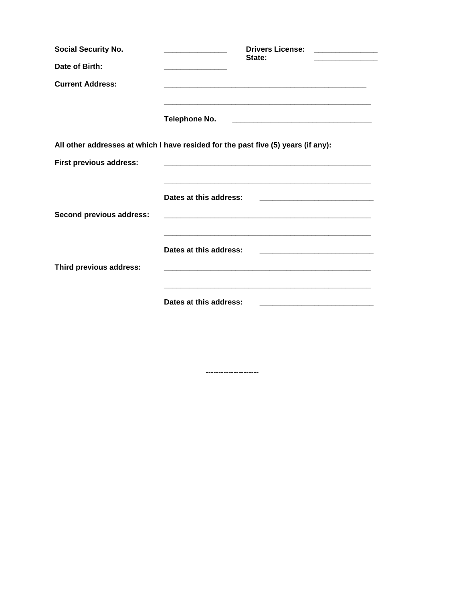| <b>Social Security No.</b>     | <b>Drivers License:</b><br>State:                                                                                                                                                                                                                     |
|--------------------------------|-------------------------------------------------------------------------------------------------------------------------------------------------------------------------------------------------------------------------------------------------------|
| Date of Birth:                 |                                                                                                                                                                                                                                                       |
| <b>Current Address:</b>        |                                                                                                                                                                                                                                                       |
|                                | and the state of the state of the state of the state of the state of the state of the state of the<br><b>Telephone No.</b><br><u> 2000 - Jan James James Barnett, amerikan basar pada 2000 - pada 2000 - pada 2000 - pada 2000 - pada 2000 - pada</u> |
|                                | All other addresses at which I have resided for the past five (5) years (if any):                                                                                                                                                                     |
| <b>First previous address:</b> |                                                                                                                                                                                                                                                       |
|                                | Dates at this address:                                                                                                                                                                                                                                |
| Second previous address:       |                                                                                                                                                                                                                                                       |
|                                | and the state of the state of the state of the state of the state of the state of the state of the<br>Dates at this address:<br><u> 2000 - Jan James James Barnett, amerikan ba</u>                                                                   |
| Third previous address:        |                                                                                                                                                                                                                                                       |
|                                |                                                                                                                                                                                                                                                       |
|                                | Dates at this address:                                                                                                                                                                                                                                |

................